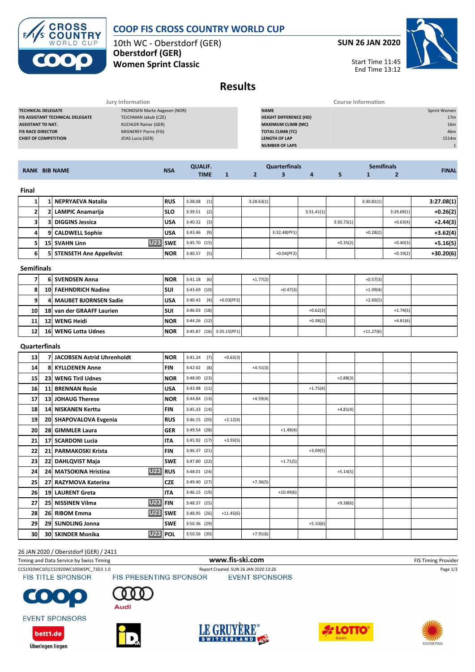**COOP FIS CROSS COUNTRY WORLD CUP**

10th WC - Oberstdorf (GER) **Oberstdorf (GER)**

**Women Sprint Classic**

**CROSS<br>COUNTRY** WORLD CUP

**SUN 26 JAN 2020**



Start Time 11:45 End Time 13:12

# **Results**

|                                         | Jury Information             |                               | <b>Course Information</b> |  |  |  |  |  |
|-----------------------------------------|------------------------------|-------------------------------|---------------------------|--|--|--|--|--|
| <b>TECHNICAL DELEGATE</b>               | TRONDSEN Marte Aagesen (NOR) | <b>NAME</b>                   | Sprint Women              |  |  |  |  |  |
| <b>FIS ASSISTANT TECHNICAL DELEGATE</b> | TEJCHMAN Jakub (CZE)         | <b>HEIGHT DIFFERENCE (HD)</b> | 17 <sub>m</sub>           |  |  |  |  |  |
| <b>ASSISTANT TD NAT.</b>                | KUCHLER Rainer (GER)         | <b>MAXIMUM CLIMB (MC)</b>     | 16 <sub>m</sub>           |  |  |  |  |  |
| <b>FIS RACE DIRECTOR</b>                | MIGNEREY Pierre (FIS)        | <b>TOTAL CLIMB (TC)</b>       | 46m                       |  |  |  |  |  |
| <b>CHIEF OF COMPETITION</b>             | JOAS Lucia (GER)             | <b>LENGTH OF LAP</b>          | 1514m                     |  |  |  |  |  |
|                                         |                              | <b>NUMBER OF LAPS</b>         |                           |  |  |  |  |  |
|                                         |                              |                               |                           |  |  |  |  |  |

| <b>RANK BIB NAME</b> |  |                          | <b>QUALIF.</b> | <b>Quarterfinals</b> |            |   |            | <b>Semifinals</b> | <b>FINAL</b> |            |            |
|----------------------|--|--------------------------|----------------|----------------------|------------|---|------------|-------------------|--------------|------------|------------|
|                      |  | <b>NSA</b>               | <b>TIME</b>    |                      |            | 4 |            |                   |              |            |            |
| Final                |  |                          |                |                      |            |   |            |                   |              |            |            |
|                      |  | 1 NEPRYAEVA Natalia      | <b>RUS</b>     | (1)<br>3:38.08       | 3:28.63(1) |   |            |                   | 3:30.81(1)   |            | 3:27.08(1) |
| 21                   |  | 2 LAMPIC Anamarija       | ISLO           | (2)<br>3:39.51       |            |   | 3:31.41(1) |                   |              | 3:29.69(1) | $+0.26(2)$ |
| 31                   |  | <b>3 DIGGINS Jessica</b> | <b>USA</b>     | (3)<br>3:40.32       |            |   |            | 3:30.73(1)        |              | $+0.63(4)$ | $+2.44(3)$ |

| 4  |                   | 9 CALDWELL Sophie         | <b>USA</b> | (9)<br>3:43.46 |  |  | 3:32.48(PF1) |  |            | $+0.28(2)$ |            | $+3.62(4)$  |
|----|-------------------|---------------------------|------------|----------------|--|--|--------------|--|------------|------------|------------|-------------|
| 51 |                   | U23 SWE<br>15 SVAHN Linn  |            | 3:45.70(15)    |  |  |              |  | $+0.35(2)$ |            | $+0.40(3)$ | $+5.16(5)$  |
| 6  |                   | 5 STENSETH Ane Appelkvist | <b>NOR</b> | 3:40.57<br>(5) |  |  | $+0.04(PF2)$ |  |            |            | $+0.19(2)$ | $+30.20(6)$ |
|    | <b>Semifinals</b> |                           |            |                |  |  |              |  |            |            |            |             |

| ------------    |  |                           |            |                           |              |            |            |            |  |             |            |  |  |
|-----------------|--|---------------------------|------------|---------------------------|--------------|------------|------------|------------|--|-------------|------------|--|--|
|                 |  | 6 SVENDSEN Anna           | <b>NOR</b> | $3:41.18$ (6)             |              | $+1.77(2)$ |            |            |  | $+0.57(3)$  |            |  |  |
| 8               |  | 10 FAEHNDRICH Nadine      | <b>SUI</b> | $3:43.69$ (10)            |              |            | $+0.47(3)$ |            |  | $+1.99(4)$  |            |  |  |
| -91             |  | 4 MAUBET BJORNSEN Sadie   | <b>USA</b> | 3:40.43<br>(4)            | $+0.03(PF2)$ |            |            |            |  | $+2.69(5)$  |            |  |  |
| 10              |  | 18 van der GRAAFF Laurien | <b>SUI</b> | $3:46.03$ (18)            |              |            |            | $+0.62(3)$ |  |             | $+1.74(5)$ |  |  |
| 11              |  | 12 WENG Heidi             | <b>NOR</b> | $3:44.26$ (12)            |              |            |            | $+0.38(2)$ |  |             | $+4.81(6)$ |  |  |
| 12 <sup>1</sup> |  | 16 WENG Lotta Udnes       | <b>NOR</b> | 3:45.87 (16) 3:35.15(PF1) |              |            |            |            |  | $+11.27(6)$ |            |  |  |

#### **Quarterfinals**

| 13 | 7 JACOBSEN Astrid Uhrenholdt        | <b>NOR</b> | 3:41.24<br>(7) | $+0.63(3)$  |            |             |            |            |  |  |
|----|-------------------------------------|------------|----------------|-------------|------------|-------------|------------|------------|--|--|
| 14 | <b>8 KYLLOENEN Anne</b>             | <b>FIN</b> | 3:42.02<br>(8) |             | $+4.51(3)$ |             |            |            |  |  |
| 15 | 23 WENG Tiril Udnes                 | <b>NOR</b> | 3:48.00 (23)   |             |            |             |            | $+2.88(3)$ |  |  |
| 16 | <b>11 BRENNAN Rosie</b>             | <b>USA</b> | 3:43.98 (11)   |             |            |             | $+1.75(4)$ |            |  |  |
| 17 | 13 JOHAUG Therese                   | <b>NOR</b> | 3:44.84 (13)   |             | $+4.59(4)$ |             |            |            |  |  |
| 18 | 14 NISKANEN Kerttu                  | <b>FIN</b> | 3:45.33 (14)   |             |            |             |            | $+4.81(4)$ |  |  |
| 19 | 20 SHAPOVALOVA Evgenia              | <b>RUS</b> | 3:46.15(20)    | $+2.12(4)$  |            |             |            |            |  |  |
| 20 | 28 GIMMLER Laura                    | <b>GER</b> | 3:49.54 (28)   |             |            | $+1.49(4)$  |            |            |  |  |
| 21 | 17 SCARDONI Lucia                   | <b>ITA</b> | 3:45.92 (17)   | $+3.93(5)$  |            |             |            |            |  |  |
| 22 | 21 PARMAKOSKI Krista                | <b>FIN</b> | 3:46.37 (21)   |             |            |             | $+3.09(5)$ |            |  |  |
| 23 | 22 DAHLQVIST Maja                   | <b>SWE</b> | 3:47.80 (22)   |             |            | $+1.71(5)$  |            |            |  |  |
| 24 | U23 RUS<br>24 MATSOKINA Hristina    |            | 3:48.01 (24)   |             |            |             |            | $+5.14(5)$ |  |  |
| 25 | 27 RAZYMOVA Katerina                | <b>CZE</b> | 3:49.40 (27)   |             | $+7.36(5)$ |             |            |            |  |  |
| 26 | 19 LAURENT Greta                    | <b>ITA</b> | 3:46.15(19)    |             |            | $+10.49(6)$ |            |            |  |  |
| 27 | <b>U23 FIN</b><br>25 NISSINEN Vilma |            | 3:48.37 (25)   |             |            |             |            | $+9.38(6)$ |  |  |
| 28 | <b>U23</b><br>26 RIBOM Emma         | liswe      | 3:48.95 (26)   | $+11.45(6)$ |            |             |            |            |  |  |
| 29 | 29 SUNDLING Jonna                   | <b>SWE</b> | 3:50.36 (29)   |             |            |             | $+5.10(6)$ |            |  |  |
| 30 | $U23$ POL<br>30 SKINDER Monika      |            | 3:50.56 (30)   |             | $+7.91(6)$ |             |            |            |  |  |

#### 26 JAN 2020 / Oberstdorf (GER) / 2411

Timing and Data Service by Swiss Timing **WWW.fis-Ski.com WWW.fis-Ski.com** FIS Timing Provider

**FIS TITLE SPONSOR** 



CCS1920WC10\CCS1920WC10SWSPC\_73D3 1.0 Report Created SUN 26 JAN 2020 13:26 Page 1/3<br>FIS TITLE SPONSOR FIS PRESENTING SPONSOR EVENT SPONSORS **EVENT SPONSORS** 



**EVENT SPONSORS** 

bett1.de

Überlegen liegen









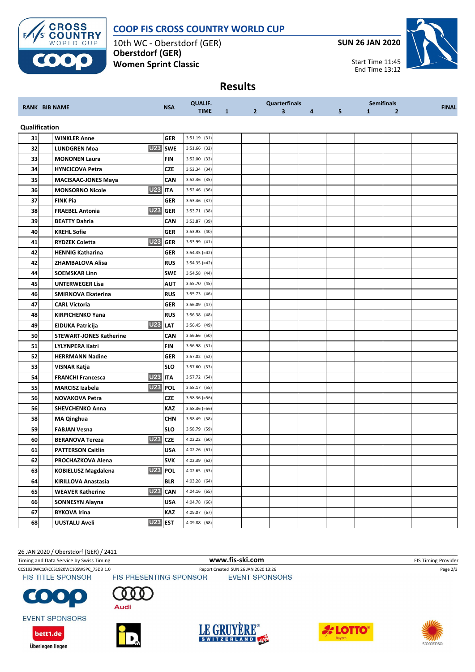

#### **COOP FIS CROSS COUNTRY WORLD CUP**

10th WC - Oberstdorf (GER) **Oberstdorf (GER) Women Sprint Classic**

**SUN 26 JAN 2020**

Start Time 11:45 End Time 13:12



### **Results**

| <b>RANK BIB NAME</b> |  |                                              | <b>QUALIF.</b> |                 | <b>Quarterfinals</b> |                |                         | <b>Semifinals</b> |   |              |                |              |
|----------------------|--|----------------------------------------------|----------------|-----------------|----------------------|----------------|-------------------------|-------------------|---|--------------|----------------|--------------|
|                      |  |                                              | <b>NSA</b>     | <b>TIME</b>     | 1                    | 2 <sup>1</sup> | $\overline{\mathbf{3}}$ | 4                 | 5 | $\mathbf{1}$ | $\overline{2}$ | <b>FINAL</b> |
| Qualification        |  |                                              |                |                 |                      |                |                         |                   |   |              |                |              |
| 31                   |  | <b>WINKLER Anne</b>                          | <b>GER</b>     | $3:51.19$ (31)  |                      |                |                         |                   |   |              |                |              |
| 32                   |  | <b>U23</b><br><b>LUNDGREN Moa</b>            | <b>SWE</b>     | 3:51.66 (32)    |                      |                |                         |                   |   |              |                |              |
| 33                   |  | <b>MONONEN Laura</b>                         | <b>FIN</b>     | 3:52.00 (33)    |                      |                |                         |                   |   |              |                |              |
| 34                   |  | <b>HYNCICOVA Petra</b>                       | <b>CZE</b>     | 3:52.34 (34)    |                      |                |                         |                   |   |              |                |              |
| 35                   |  | <b>MACISAAC-JONES Maya</b>                   | CAN            | 3:52.36 (35)    |                      |                |                         |                   |   |              |                |              |
| 36                   |  | <b>U23 ITA</b><br><b>MONSORNO Nicole</b>     |                | 3:52.46 (36)    |                      |                |                         |                   |   |              |                |              |
| 37                   |  | <b>FINK Pia</b>                              | <b>GER</b>     | 3:53.46 (37)    |                      |                |                         |                   |   |              |                |              |
| 38                   |  | <b>U23</b><br><b>FRAEBEL Antonia</b>         | <b>GER</b>     | 3:53.71 (38)    |                      |                |                         |                   |   |              |                |              |
| 39                   |  | <b>BEATTY Dahria</b>                         | CAN            | 3:53.87 (39)    |                      |                |                         |                   |   |              |                |              |
| 40                   |  | <b>KREHL Sofie</b>                           | <b>GER</b>     | 3:53.93 (40)    |                      |                |                         |                   |   |              |                |              |
| 41                   |  | <b>U23</b><br><b>RYDZEK Coletta</b>          | <b>GER</b>     | 3:53.99 (41)    |                      |                |                         |                   |   |              |                |              |
| 42                   |  | <b>HENNIG Katharina</b>                      | <b>GER</b>     | $3:54.35 (=42)$ |                      |                |                         |                   |   |              |                |              |
| 42                   |  | ZHAMBALOVA Alisa                             | <b>RUS</b>     | 3:54.35 (=42)   |                      |                |                         |                   |   |              |                |              |
| 44                   |  | <b>SOEMSKAR Linn</b>                         | <b>SWE</b>     | 3:54.58 (44)    |                      |                |                         |                   |   |              |                |              |
| 45                   |  | <b>UNTERWEGER Lisa</b>                       | <b>AUT</b>     | 3:55.70 (45)    |                      |                |                         |                   |   |              |                |              |
| 46                   |  | <b>SMIRNOVA Ekaterina</b>                    | <b>RUS</b>     | 3:55.73 (46)    |                      |                |                         |                   |   |              |                |              |
| 47                   |  | <b>CARL Victoria</b>                         | <b>GER</b>     | 3:56.09 (47)    |                      |                |                         |                   |   |              |                |              |
| 48                   |  | <b>KIRPICHENKO Yana</b>                      | <b>RUS</b>     | 3:56.38 (48)    |                      |                |                         |                   |   |              |                |              |
| 49                   |  | <b>U23 LAT</b><br>EIDUKA Patricija           |                | 3:56.45 (49)    |                      |                |                         |                   |   |              |                |              |
| 50                   |  | <b>STEWART-JONES Katherine</b>               | CAN            | 3:56.66 (50)    |                      |                |                         |                   |   |              |                |              |
| 51                   |  | <b>LYLYNPERA Katri</b>                       | <b>FIN</b>     | 3:56.98 (51)    |                      |                |                         |                   |   |              |                |              |
| 52                   |  | <b>HERRMANN Nadine</b>                       | <b>GER</b>     | 3:57.02 (52)    |                      |                |                         |                   |   |              |                |              |
| 53                   |  | VISNAR Katja                                 | <b>SLO</b>     | 3:57.60 (53)    |                      |                |                         |                   |   |              |                |              |
| 54                   |  | <b>U23 ITA</b><br><b>FRANCHI Francesca</b>   |                | 3:57.72 (54)    |                      |                |                         |                   |   |              |                |              |
| 55                   |  | <b>U23</b><br><b>MARCISZ Izabela</b>         | <b>POL</b>     | 3:58.17 (55)    |                      |                |                         |                   |   |              |                |              |
| 56                   |  | <b>NOVAKOVA Petra</b>                        | CZE            | $3:58.36 (=56)$ |                      |                |                         |                   |   |              |                |              |
| 56                   |  | <b>SHEVCHENKO Anna</b>                       | <b>KAZ</b>     | $3:58.36 (=56)$ |                      |                |                         |                   |   |              |                |              |
| 58                   |  | <b>MA Qinghua</b>                            | <b>CHN</b>     | 3:58.49 (58)    |                      |                |                         |                   |   |              |                |              |
| 59                   |  | <b>FABJAN Vesna</b>                          | <b>SLO</b>     | 3:58.79 (59)    |                      |                |                         |                   |   |              |                |              |
| 60                   |  | <b>U23</b><br><b>BERANOVA Tereza</b>         | <b>CZE</b>     | 4:02.22 (60)    |                      |                |                         |                   |   |              |                |              |
| 61                   |  | <b>PATTERSON Caitlin</b>                     | USA            | 4:02.26 (61)    |                      |                |                         |                   |   |              |                |              |
| 62                   |  | PROCHAZKOVA Alena                            | <b>SVK</b>     | 4:02.39 (62)    |                      |                |                         |                   |   |              |                |              |
| 63                   |  | <b>U23 POL</b><br><b>KOBIELUSZ Magdalena</b> |                | 4:02.65 (63)    |                      |                |                         |                   |   |              |                |              |
| 64                   |  | <b>KIRILLOVA Anastasia</b>                   | <b>BLR</b>     | 4:03.28 (64)    |                      |                |                         |                   |   |              |                |              |
| 65                   |  | <b>U23</b><br><b>WEAVER Katherine</b>        | <b>CAN</b>     | 4:04.16 (65)    |                      |                |                         |                   |   |              |                |              |
| 66                   |  | SONNESYN Alayna                              | USA            | 4:04.78 (66)    |                      |                |                         |                   |   |              |                |              |
| 67                   |  | <b>BYKOVA Irina</b>                          | <b>KAZ</b>     | 4:09.07 (67)    |                      |                |                         |                   |   |              |                |              |
| 68                   |  | <b>U23 EST</b><br><b>UUSTALU Aveli</b>       |                | 4:09.88 (68)    |                      |                |                         |                   |   |              |                |              |

26 JAN 2020 / Oberstdorf (GER) / 2411

Timing and Data Service by Swiss Timing **WWW.fis-Ski.com WWW.fis-Ski.com** FIS Timing Provider

**FIS TITLE SPONSOR** 

CCS1920WC10\CCS1920WC10SWSPC\_73D3 1.0 Report Created SUN 26 JAN 2020 13:26 Page 2/3<br>FIS TITLE SPONSOR FIS PRESENTING SPONSOR EVENT SPONSORS

 $\bullet$ G

**EVENT SPONSORS** 

bett1.de

Überlegen liegen